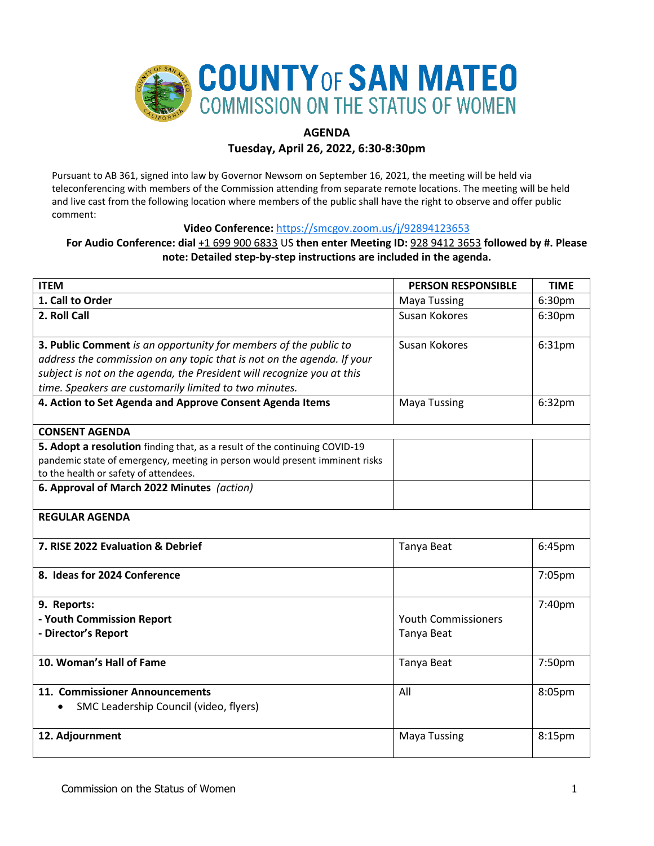

# **AGENDA**

## **Tuesday, April 26, 2022, 6:30-8:30pm**

Pursuant to AB 361, signed into law by Governor Newsom on September 16, 2021, the meeting will be held via teleconferencing with members of the Commission attending from separate remote locations. The meeting will be held and live cast from the following location where members of the public shall have the right to observe and offer public comment:

## **Video Conference:** <https://smcgov.zoom.us/j/92894123653>

# **For Audio Conference: dial** +1 699 900 6833 US **then enter Meeting ID:** 928 9412 3653 **followed by #. Please note: Detailed step-by-step instructions are included in the agenda.**

| <b>ITEM</b>                                                                                                                                                                                                                                                                    | <b>PERSON RESPONSIBLE</b>                | <b>TIME</b>        |
|--------------------------------------------------------------------------------------------------------------------------------------------------------------------------------------------------------------------------------------------------------------------------------|------------------------------------------|--------------------|
| 1. Call to Order                                                                                                                                                                                                                                                               | <b>Maya Tussing</b>                      | 6:30pm             |
| 2. Roll Call                                                                                                                                                                                                                                                                   | Susan Kokores                            | 6:30pm             |
| 3. Public Comment is an opportunity for members of the public to<br>address the commission on any topic that is not on the agenda. If your<br>subject is not on the agenda, the President will recognize you at this<br>time. Speakers are customarily limited to two minutes. | Susan Kokores                            | 6:31pm             |
| 4. Action to Set Agenda and Approve Consent Agenda Items                                                                                                                                                                                                                       | <b>Maya Tussing</b>                      | 6:32pm             |
| <b>CONSENT AGENDA</b>                                                                                                                                                                                                                                                          |                                          |                    |
| 5. Adopt a resolution finding that, as a result of the continuing COVID-19<br>pandemic state of emergency, meeting in person would present imminent risks<br>to the health or safety of attendees.                                                                             |                                          |                    |
| 6. Approval of March 2022 Minutes (action)                                                                                                                                                                                                                                     |                                          |                    |
| <b>REGULAR AGENDA</b>                                                                                                                                                                                                                                                          |                                          |                    |
| 7. RISE 2022 Evaluation & Debrief                                                                                                                                                                                                                                              | Tanya Beat                               | 6:45pm             |
| 8. Ideas for 2024 Conference                                                                                                                                                                                                                                                   |                                          | 7:05pm             |
| 9. Reports:<br>- Youth Commission Report<br>- Director's Report                                                                                                                                                                                                                | <b>Youth Commissioners</b><br>Tanya Beat | 7:40pm             |
| 10. Woman's Hall of Fame                                                                                                                                                                                                                                                       | Tanya Beat                               | 7:50pm             |
| 11. Commissioner Announcements<br>SMC Leadership Council (video, flyers)                                                                                                                                                                                                       | All                                      | 8:05pm             |
| 12. Adjournment                                                                                                                                                                                                                                                                | <b>Maya Tussing</b>                      | 8:15 <sub>pm</sub> |